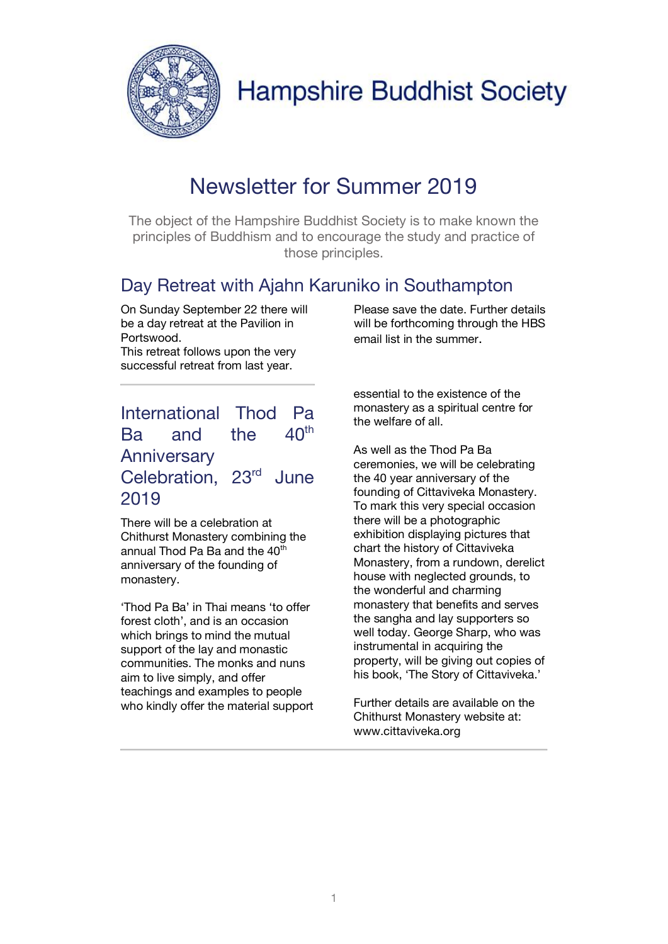

## Newsletter for Summer 2019

The object of the Hampshire Buddhist Society is to make known the principles of Buddhism and to encourage the study and practice of those principles.

#### Day Retreat with Ajahn Karuniko in Southampton

On Sunday September 22 there will be a day retreat at the Pavilion in Portswood.

This retreat follows upon the very successful retreat from last year.

#### International Thod Pa Ba and the  $40<sup>th</sup>$ **Anniversary** Celebration, 23rd June 2019

There will be a celebration at Chithurst Monastery combining the annual Thod Pa Ba and the  $40<sup>th</sup>$ anniversary of the founding of monastery.

'Thod Pa Ba' in Thai means 'to offer forest cloth', and is an occasion which brings to mind the mutual support of the lay and monastic communities. The monks and nuns aim to live simply, and offer teachings and examples to people who kindly offer the material support Please save the date. Further details will be forthcoming through the HBS email list in the summer.

essential to the existence of the monastery as a spiritual centre for the welfare of all.

As well as the Thod Pa Ba ceremonies, we will be celebrating the 40 year anniversary of the founding of Cittaviveka Monastery. To mark this very special occasion there will be a photographic exhibition displaying pictures that chart the history of Cittaviveka Monastery, from a rundown, derelict house with neglected grounds, to the wonderful and charming monastery that benefits and serves the sangha and lay supporters so well today. George Sharp, who was instrumental in acquiring the property, will be giving out copies of his book, 'The Story of Cittaviveka.'

Further details are available on the Chithurst Monastery website at: www.cittaviveka.org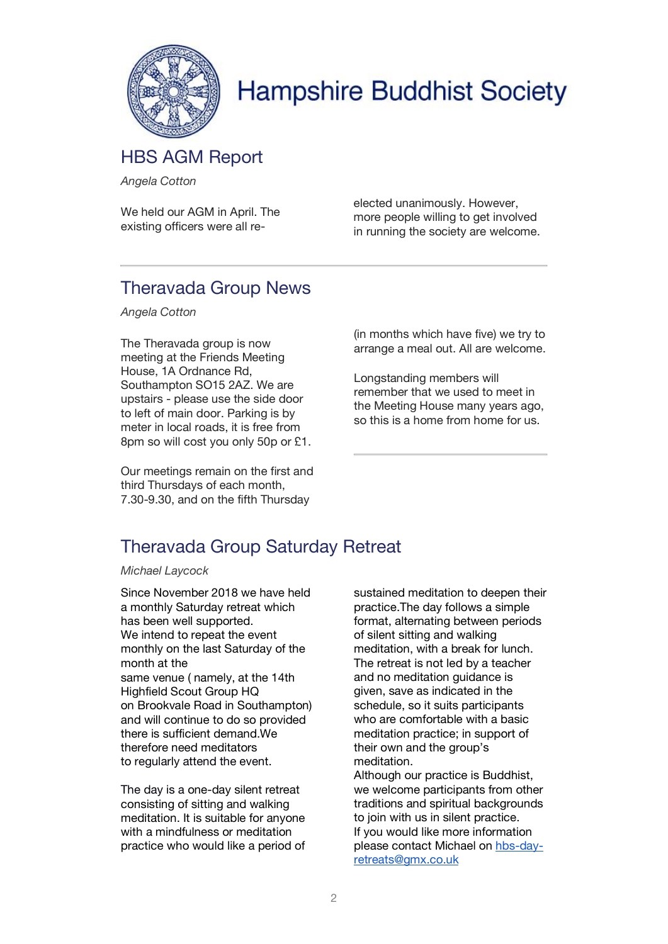

### HBS AGM Report

*Angela Cotton*

We held our AGM in April. The existing officers were all reelected unanimously. However, more people willing to get involved in running the society are welcome.

### Theravada Group News

*Angela Cotton*

The Theravada group is now meeting at the Friends Meeting House, 1A Ordnance Rd, Southampton SO15 2AZ. We are upstairs - please use the side door to left of main door. Parking is by meter in local roads, it is free from 8pm so will cost you only 50p or £1.

Our meetings remain on the first and third Thursdays of each month, 7.30-9.30, and on the fifth Thursday

(in months which have five) we try to arrange a meal out. All are welcome.

Longstanding members will remember that we used to meet in the Meeting House many years ago, so this is a home from home for us.

### Theravada Group Saturday Retreat

*Michael Laycock*

Since November 2018 we have held a monthly Saturday retreat which has been well supported. We intend to repeat the event monthly on the last Saturday of the month at the same venue ( namely, at the 14th Highfield Scout Group HQ on Brookvale Road in Southampton) and will continue to do so provided there is sufficient demand.We therefore need meditators to regularly attend the event.

The day is a one-day silent retreat consisting of sitting and walking meditation. It is suitable for anyone with a mindfulness or meditation practice who would like a period of sustained meditation to deepen their practice.The day follows a simple format, alternating between periods of silent sitting and walking meditation, with a break for lunch. The retreat is not led by a teacher and no meditation guidance is given, save as indicated in the schedule, so it suits participants who are comfortable with a basic meditation practice; in support of their own and the group's meditation.

Although our practice is Buddhist, we welcome participants from other traditions and spiritual backgrounds to join with us in silent practice. If you would like more information please contact Michael on hbs-dayretreats@gmx.co.uk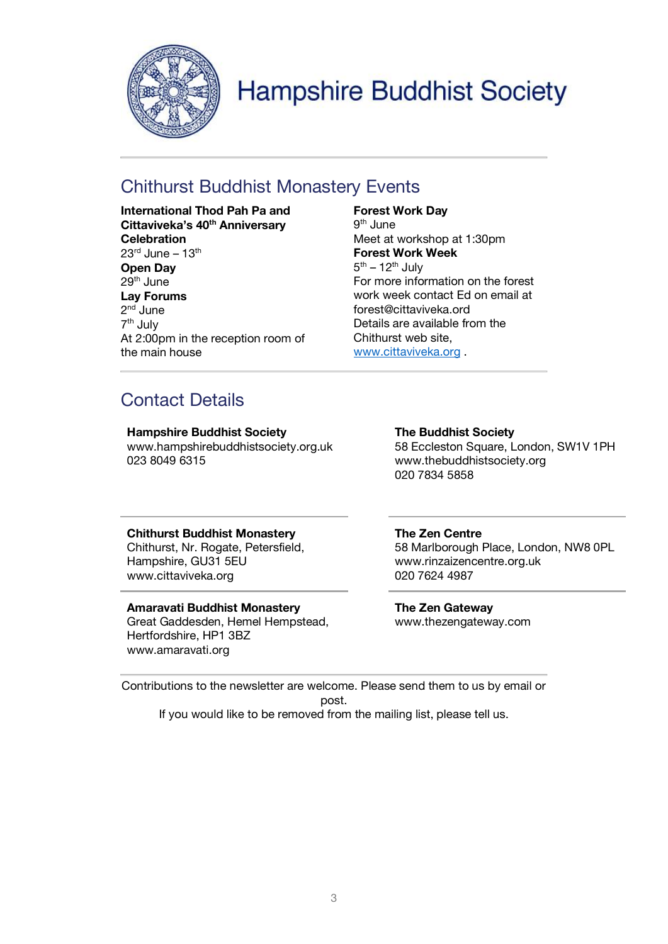

### Chithurst Buddhist Monastery Events

**International Thod Pah Pa and Cittaviveka's 40th Anniversary Celebration**  $23<sup>rd</sup>$  June –  $13<sup>th</sup>$ **Open Day** 29th June **Lay Forums** 2nd June 7th July At 2:00pm in the reception room of the main house

#### **Forest Work Day**

 $9<sup>th</sup>$  June Meet at workshop at 1:30pm **Forest Work Week**  $5<sup>th</sup> - 12<sup>th</sup>$  July For more information on the forest work week contact Ed on email at forest@cittaviveka.ord Details are available from the Chithurst web site, www.cittaviveka.org .

### Contact Details

**Hampshire Buddhist Society** www.hampshirebuddhistsociety.org.uk 023 8049 6315

**The Buddhist Society** 58 Eccleston Square, London, SW1V 1PH www.thebuddhistsociety.org 020 7834 5858

#### **Chithurst Buddhist Monastery**

Chithurst, Nr. Rogate, Petersfield, Hampshire, GU31 5EU www.cittaviveka.org

#### **Amaravati Buddhist Monastery**

Great Gaddesden, Hemel Hempstead, Hertfordshire, HP1 3BZ www.amaravati.org

#### **The Zen Centre**

58 Marlborough Place, London, NW8 0PL www.rinzaizencentre.org.uk 020 7624 4987

**The Zen Gateway** www.thezengateway.com

Contributions to the newsletter are welcome. Please send them to us by email or post. If you would like to be removed from the mailing list, please tell us.